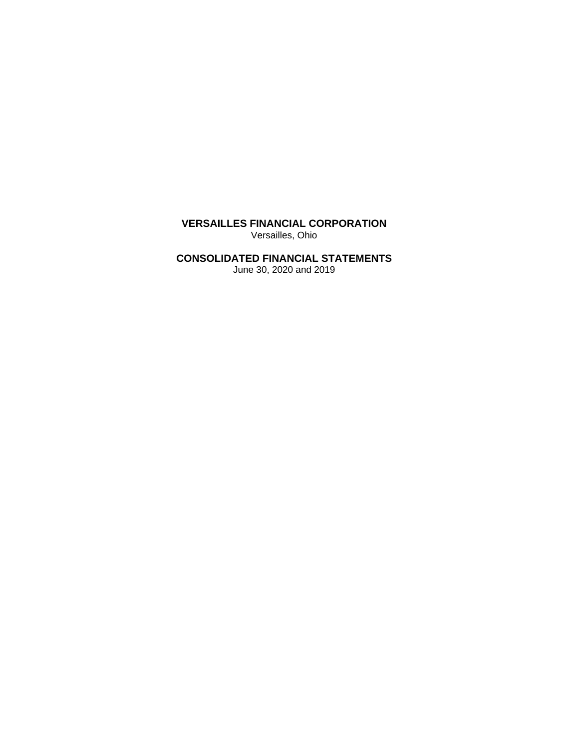**VERSAILLES FINANCIAL CORPORATION**  Versailles, Ohio

## **CONSOLIDATED FINANCIAL STATEMENTS**

June 30, 2020 and 2019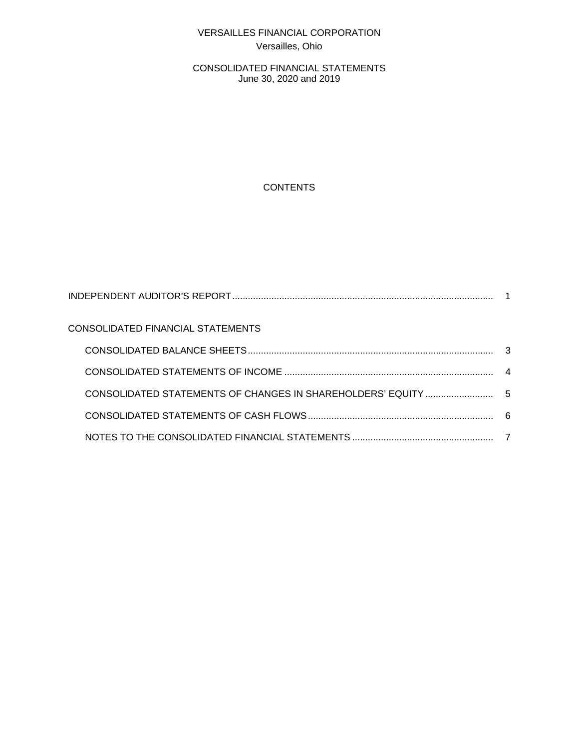# VERSAILLES FINANCIAL CORPORATION Versailles, Ohio

CONSOLIDATED FINANCIAL STATEMENTS June 30, 2020 and 2019

# **CONTENTS**

| CONSOLIDATED FINANCIAL STATEMENTS |  |
|-----------------------------------|--|
|                                   |  |
|                                   |  |
|                                   |  |
|                                   |  |
|                                   |  |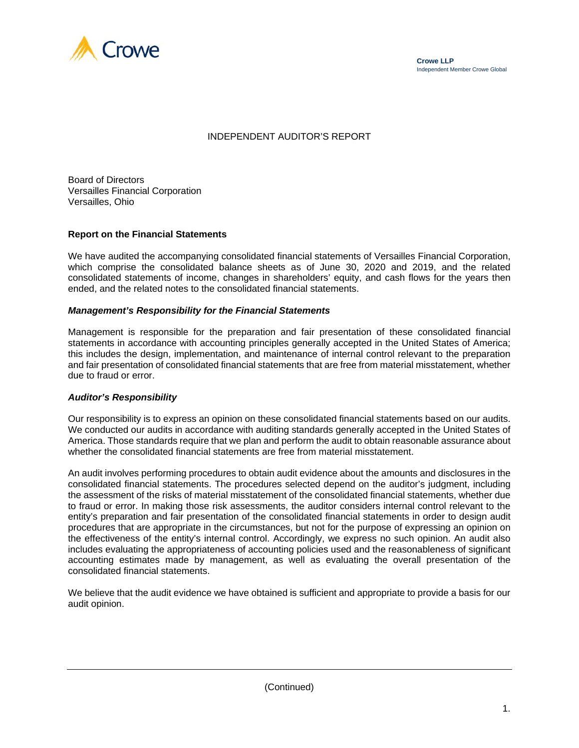



### INDEPENDENT AUDITOR'S REPORT

Board of Directors Versailles Financial Corporation Versailles, Ohio

#### **Report on the Financial Statements**

We have audited the accompanying consolidated financial statements of Versailles Financial Corporation, which comprise the consolidated balance sheets as of June 30, 2020 and 2019, and the related consolidated statements of income, changes in shareholders' equity, and cash flows for the years then ended, and the related notes to the consolidated financial statements.

#### *Management's Responsibility for the Financial Statements*

Management is responsible for the preparation and fair presentation of these consolidated financial statements in accordance with accounting principles generally accepted in the United States of America; this includes the design, implementation, and maintenance of internal control relevant to the preparation and fair presentation of consolidated financial statements that are free from material misstatement, whether due to fraud or error.

#### *Auditor's Responsibility*

Our responsibility is to express an opinion on these consolidated financial statements based on our audits. We conducted our audits in accordance with auditing standards generally accepted in the United States of America. Those standards require that we plan and perform the audit to obtain reasonable assurance about whether the consolidated financial statements are free from material misstatement.

An audit involves performing procedures to obtain audit evidence about the amounts and disclosures in the consolidated financial statements. The procedures selected depend on the auditor's judgment, including the assessment of the risks of material misstatement of the consolidated financial statements, whether due to fraud or error. In making those risk assessments, the auditor considers internal control relevant to the entity's preparation and fair presentation of the consolidated financial statements in order to design audit procedures that are appropriate in the circumstances, but not for the purpose of expressing an opinion on the effectiveness of the entity's internal control. Accordingly, we express no such opinion. An audit also includes evaluating the appropriateness of accounting policies used and the reasonableness of significant accounting estimates made by management, as well as evaluating the overall presentation of the consolidated financial statements.

We believe that the audit evidence we have obtained is sufficient and appropriate to provide a basis for our audit opinion.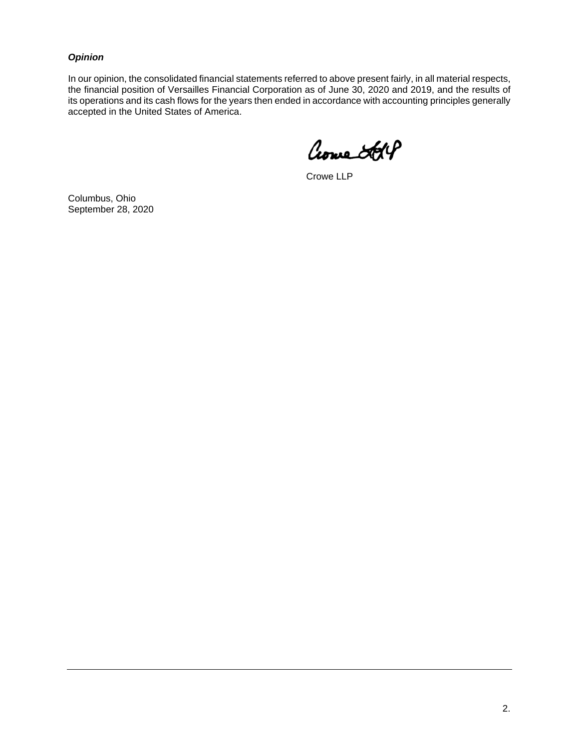### *Opinion*

In our opinion, the consolidated financial statements referred to above present fairly, in all material respects, the financial position of Versailles Financial Corporation as of June 30, 2020 and 2019, and the results of its operations and its cash flows for the years then ended in accordance with accounting principles generally accepted in the United States of America.

Crowne Steff

Crowe LLP

Columbus, Ohio September 28, 2020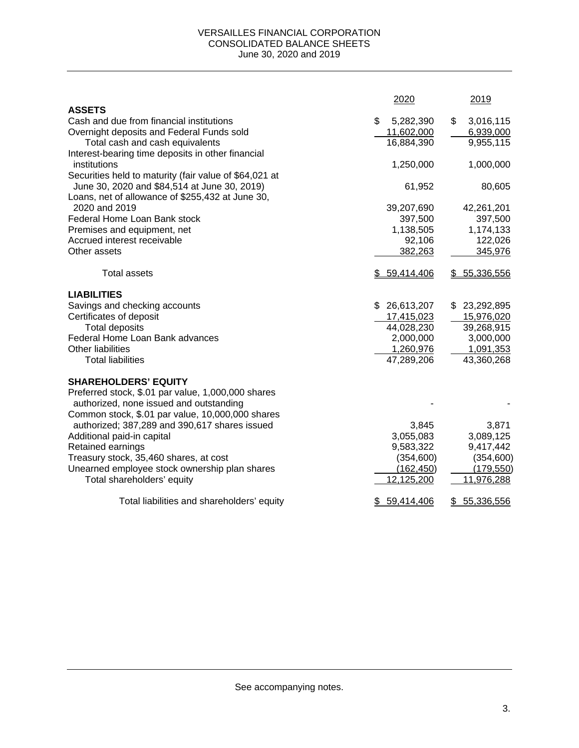### VERSAILLES FINANCIAL CORPORATION CONSOLIDATED BALANCE SHEETS June 30, 2020 and 2019

|                                                                   | 2020             | 2019            |
|-------------------------------------------------------------------|------------------|-----------------|
| <b>ASSETS</b>                                                     |                  |                 |
| Cash and due from financial institutions                          | \$<br>5,282,390  | \$<br>3,016,115 |
| Overnight deposits and Federal Funds sold                         | 11,602,000       | 6,939,000       |
| Total cash and cash equivalents                                   | 16,884,390       | 9,955,115       |
| Interest-bearing time deposits in other financial                 |                  |                 |
| institutions                                                      | 1,250,000        | 1,000,000       |
| Securities held to maturity (fair value of \$64,021 at            |                  |                 |
| June 30, 2020 and \$84,514 at June 30, 2019)                      | 61,952           | 80,605          |
| Loans, net of allowance of \$255,432 at June 30,<br>2020 and 2019 | 39,207,690       | 42,261,201      |
| Federal Home Loan Bank stock                                      | 397,500          | 397,500         |
| Premises and equipment, net                                       | 1,138,505        | 1,174,133       |
| Accrued interest receivable                                       | 92,106           | 122,026         |
| Other assets                                                      | 382,263          | 345,976         |
|                                                                   |                  |                 |
| <b>Total assets</b>                                               | \$59,414,406     | \$5,336,556     |
| <b>LIABILITIES</b>                                                |                  |                 |
| Savings and checking accounts                                     | \$26,613,207     | \$23,292,895    |
| Certificates of deposit                                           | 17,415,023       | 15,976,020      |
| <b>Total deposits</b>                                             | 44,028,230       | 39,268,915      |
| Federal Home Loan Bank advances                                   | 2,000,000        | 3,000,000       |
| Other liabilities                                                 | 1,260,976        | 1,091,353       |
| <b>Total liabilities</b>                                          | 47,289,206       | 43,360,268      |
| <b>SHAREHOLDERS' EQUITY</b>                                       |                  |                 |
| Preferred stock, \$.01 par value, 1,000,000 shares                |                  |                 |
| authorized, none issued and outstanding                           |                  |                 |
| Common stock, \$.01 par value, 10,000,000 shares                  |                  |                 |
| authorized; 387,289 and 390,617 shares issued                     | 3,845            | 3,871           |
| Additional paid-in capital                                        | 3,055,083        | 3,089,125       |
| Retained earnings                                                 | 9,583,322        | 9,417,442       |
| Treasury stock, 35,460 shares, at cost                            | (354, 600)       | (354, 600)      |
| Unearned employee stock ownership plan shares                     | (162, 450)       | (179, 550)      |
| Total shareholders' equity                                        | 12,125,200       | 11,976,288      |
| Total liabilities and shareholders' equity                        | \$<br>59,414,406 | \$5,336,556     |

See accompanying notes.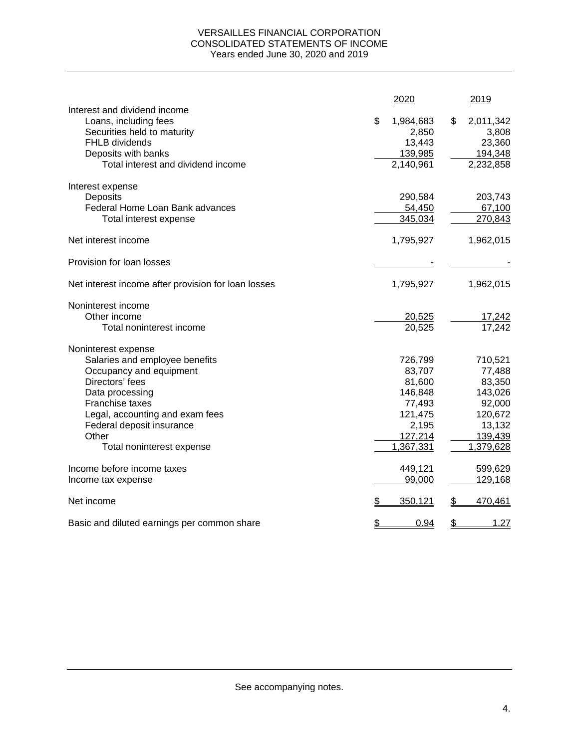### VERSAILLES FINANCIAL CORPORATION CONSOLIDATED STATEMENTS OF INCOME Years ended June 30, 2020 and 2019

|                                                                                                        | 2020                               | 2019                               |
|--------------------------------------------------------------------------------------------------------|------------------------------------|------------------------------------|
| Interest and dividend income<br>Loans, including fees<br>Securities held to maturity<br>FHLB dividends | \$<br>1,984,683<br>2,850<br>13,443 | \$<br>2,011,342<br>3,808<br>23,360 |
| Deposits with banks<br>Total interest and dividend income                                              | 139,985<br>2,140,961               | 194,348<br>2,232,858               |
| Interest expense                                                                                       |                                    |                                    |
| Deposits                                                                                               | 290,584                            | 203,743                            |
| Federal Home Loan Bank advances                                                                        | 54,450                             | 67,100                             |
| Total interest expense                                                                                 | 345,034                            | 270,843                            |
| Net interest income                                                                                    | 1,795,927                          | 1,962,015                          |
| Provision for loan losses                                                                              |                                    |                                    |
| Net interest income after provision for loan losses                                                    | 1,795,927                          | 1,962,015                          |
| Noninterest income                                                                                     |                                    |                                    |
| Other income                                                                                           | 20,525                             | 17,242                             |
| Total noninterest income                                                                               | 20,525                             | 17,242                             |
| Noninterest expense                                                                                    |                                    |                                    |
| Salaries and employee benefits                                                                         | 726,799                            | 710,521                            |
| Occupancy and equipment                                                                                | 83,707                             | 77,488                             |
| Directors' fees                                                                                        | 81,600                             | 83,350                             |
| Data processing                                                                                        | 146,848                            | 143,026                            |
| Franchise taxes                                                                                        | 77,493                             | 92,000                             |
| Legal, accounting and exam fees                                                                        | 121,475                            | 120,672                            |
| Federal deposit insurance                                                                              | 2,195                              | 13,132                             |
| Other                                                                                                  | 127,214                            | 139,439                            |
| Total noninterest expense                                                                              | 1,367,331                          | 1,379,628                          |
| Income before income taxes                                                                             | 449,121                            | 599,629                            |
| Income tax expense                                                                                     | 99,000                             | 129,168                            |
| Net income                                                                                             | \$<br>350,121                      | \$<br>470,461                      |
| Basic and diluted earnings per common share                                                            | \$<br>0.94                         | \$<br><u>1.27</u>                  |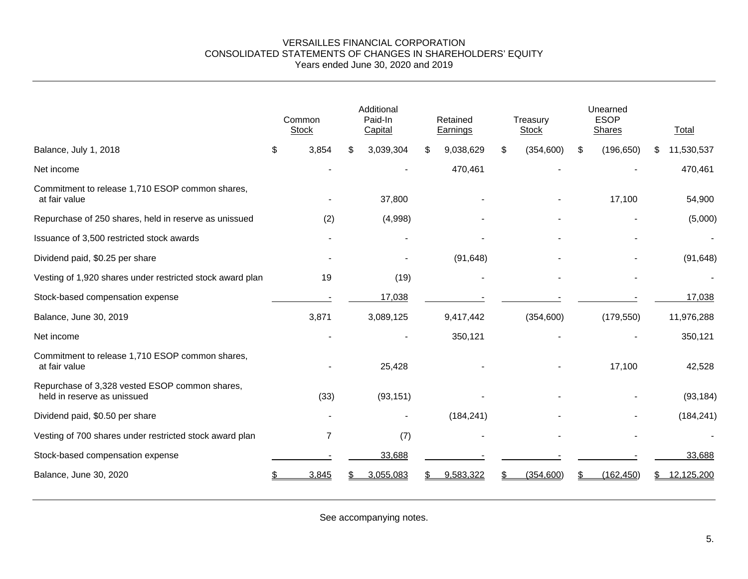#### VERSAILLES FINANCIAL CORPORATION CONSOLIDATED STATEMENTS OF CHANGES IN SHAREHOLDERS' EQUITY Years ended June 30, 2020 and 2019

|                                                                               | Common<br><b>Stock</b> | Additional<br>Paid-In<br>Capital |   | Retained<br>Earnings | Treasury<br><b>Stock</b> | Unearned<br><b>ESOP</b><br><b>Shares</b> |    | Total      |
|-------------------------------------------------------------------------------|------------------------|----------------------------------|---|----------------------|--------------------------|------------------------------------------|----|------------|
| Balance, July 1, 2018                                                         | \$<br>3,854            | \$<br>3,039,304                  | S | 9,038,629            | \$<br>(354, 600)         | \$<br>(196, 650)                         | S. | 11,530,537 |
| Net income                                                                    |                        |                                  |   | 470,461              |                          |                                          |    | 470,461    |
| Commitment to release 1,710 ESOP common shares,<br>at fair value              |                        | 37,800                           |   |                      |                          | 17,100                                   |    | 54,900     |
| Repurchase of 250 shares, held in reserve as unissued                         | (2)                    | (4,998)                          |   |                      |                          |                                          |    | (5,000)    |
| Issuance of 3,500 restricted stock awards                                     |                        |                                  |   |                      |                          |                                          |    |            |
| Dividend paid, \$0.25 per share                                               |                        |                                  |   | (91, 648)            |                          |                                          |    | (91, 648)  |
| Vesting of 1,920 shares under restricted stock award plan                     | 19                     | (19)                             |   |                      |                          |                                          |    |            |
| Stock-based compensation expense                                              |                        | 17,038                           |   |                      |                          |                                          |    | 17,038     |
| Balance, June 30, 2019                                                        | 3,871                  | 3,089,125                        |   | 9,417,442            | (354, 600)               | (179, 550)                               |    | 11,976,288 |
| Net income                                                                    |                        |                                  |   | 350,121              |                          |                                          |    | 350,121    |
| Commitment to release 1,710 ESOP common shares,<br>at fair value              |                        | 25,428                           |   |                      |                          | 17,100                                   |    | 42,528     |
| Repurchase of 3,328 vested ESOP common shares,<br>held in reserve as unissued | (33)                   | (93, 151)                        |   |                      |                          |                                          |    | (93, 184)  |
| Dividend paid, \$0.50 per share                                               |                        |                                  |   | (184, 241)           |                          |                                          |    | (184, 241) |
| Vesting of 700 shares under restricted stock award plan                       | 7                      | (7)                              |   |                      |                          |                                          |    |            |
| Stock-based compensation expense                                              |                        | 33,688                           |   |                      |                          |                                          |    | 33,688     |
| Balance, June 30, 2020                                                        | 3,845                  | 3,055,083                        |   | 9,583,322            | (354, 600)               | (162, 450)                               |    | 12,125,200 |

See accompanying notes.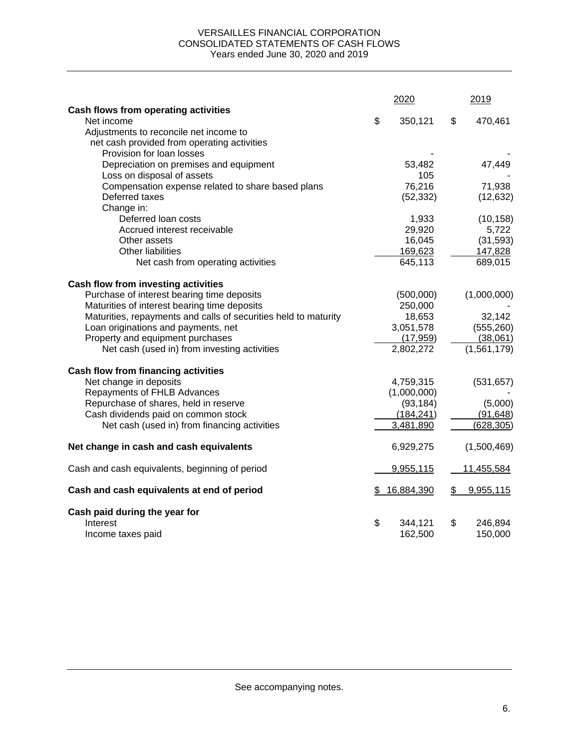### VERSAILLES FINANCIAL CORPORATION CONSOLIDATED STATEMENTS OF CASH FLOWS Years ended June 30, 2020 and 2019

|                                                                 | 2020          | 2019 |             |  |
|-----------------------------------------------------------------|---------------|------|-------------|--|
| Cash flows from operating activities                            |               |      |             |  |
| Net income                                                      | \$<br>350,121 | \$   | 470,461     |  |
| Adjustments to reconcile net income to                          |               |      |             |  |
| net cash provided from operating activities                     |               |      |             |  |
| Provision for loan losses                                       |               |      |             |  |
| Depreciation on premises and equipment                          | 53,482        |      | 47,449      |  |
| Loss on disposal of assets                                      | 105           |      |             |  |
| Compensation expense related to share based plans               | 76,216        |      | 71,938      |  |
| Deferred taxes                                                  | (52, 332)     |      | (12, 632)   |  |
| Change in:                                                      |               |      |             |  |
| Deferred loan costs                                             | 1,933         |      | (10, 158)   |  |
| Accrued interest receivable                                     | 29,920        |      | 5,722       |  |
| Other assets                                                    | 16,045        |      | (31, 593)   |  |
| <b>Other liabilities</b>                                        | 169,623       |      | 147,828     |  |
| Net cash from operating activities                              | 645,113       |      | 689,015     |  |
|                                                                 |               |      |             |  |
| Cash flow from investing activities                             |               |      |             |  |
| Purchase of interest bearing time deposits                      | (500,000)     |      | (1,000,000) |  |
| Maturities of interest bearing time deposits                    | 250,000       |      |             |  |
| Maturities, repayments and calls of securities held to maturity | 18,653        |      | 32,142      |  |
| Loan originations and payments, net                             | 3,051,578     |      | (555, 260)  |  |
| Property and equipment purchases                                | (17, 959)     |      | (38,061)    |  |
| Net cash (used in) from investing activities                    | 2,802,272     |      | (1,561,179) |  |
| <b>Cash flow from financing activities</b>                      |               |      |             |  |
| Net change in deposits                                          | 4,759,315     |      | (531, 657)  |  |
| Repayments of FHLB Advances                                     | (1,000,000)   |      |             |  |
| Repurchase of shares, held in reserve                           | (93, 184)     |      | (5,000)     |  |
| Cash dividends paid on common stock                             | (184, 241)    |      | (91, 648)   |  |
| Net cash (used in) from financing activities                    | 3,481,890     |      | (628, 305)  |  |
|                                                                 |               |      |             |  |
| Net change in cash and cash equivalents                         | 6,929,275     |      | (1,500,469) |  |
| Cash and cash equivalents, beginning of period                  | 9,955,115     |      | 11,455,584  |  |
| Cash and cash equivalents at end of period                      | 16,884,390    | \$   | 9,955,115   |  |
| Cash paid during the year for                                   |               |      |             |  |
| Interest                                                        | \$<br>344,121 | \$   | 246,894     |  |
| Income taxes paid                                               | 162,500       |      | 150,000     |  |
|                                                                 |               |      |             |  |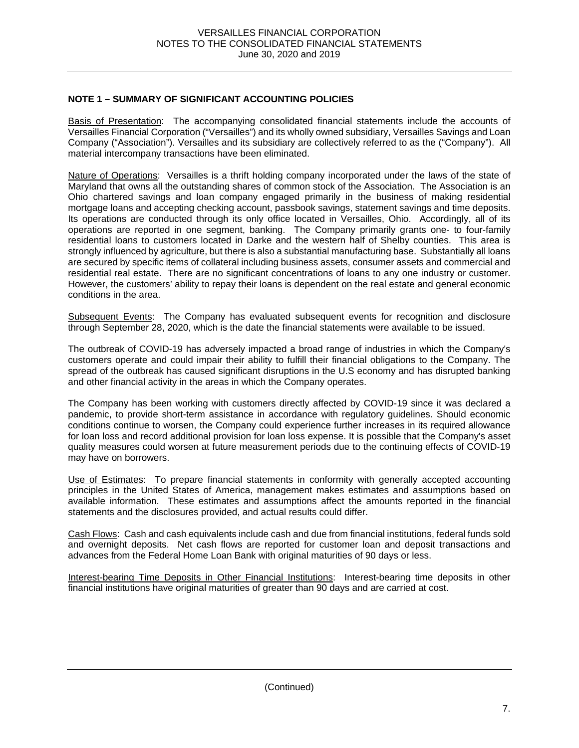## **NOTE 1 – SUMMARY OF SIGNIFICANT ACCOUNTING POLICIES**

Basis of Presentation: The accompanying consolidated financial statements include the accounts of Versailles Financial Corporation ("Versailles") and its wholly owned subsidiary, Versailles Savings and Loan Company ("Association"). Versailles and its subsidiary are collectively referred to as the ("Company"). All material intercompany transactions have been eliminated.

Nature of Operations: Versailles is a thrift holding company incorporated under the laws of the state of Maryland that owns all the outstanding shares of common stock of the Association. The Association is an Ohio chartered savings and loan company engaged primarily in the business of making residential mortgage loans and accepting checking account, passbook savings, statement savings and time deposits. Its operations are conducted through its only office located in Versailles, Ohio. Accordingly, all of its operations are reported in one segment, banking. The Company primarily grants one- to four-family residential loans to customers located in Darke and the western half of Shelby counties. This area is strongly influenced by agriculture, but there is also a substantial manufacturing base. Substantially all loans are secured by specific items of collateral including business assets, consumer assets and commercial and residential real estate. There are no significant concentrations of loans to any one industry or customer. However, the customers' ability to repay their loans is dependent on the real estate and general economic conditions in the area.

Subsequent Events: The Company has evaluated subsequent events for recognition and disclosure through September 28, 2020, which is the date the financial statements were available to be issued.

The outbreak of COVID-19 has adversely impacted a broad range of industries in which the Company's customers operate and could impair their ability to fulfill their financial obligations to the Company. The spread of the outbreak has caused significant disruptions in the U.S economy and has disrupted banking and other financial activity in the areas in which the Company operates.

The Company has been working with customers directly affected by COVID-19 since it was declared a pandemic, to provide short-term assistance in accordance with regulatory guidelines. Should economic conditions continue to worsen, the Company could experience further increases in its required allowance for loan loss and record additional provision for loan loss expense. It is possible that the Company's asset quality measures could worsen at future measurement periods due to the continuing effects of COVID-19 may have on borrowers.

Use of Estimates: To prepare financial statements in conformity with generally accepted accounting principles in the United States of America, management makes estimates and assumptions based on available information. These estimates and assumptions affect the amounts reported in the financial statements and the disclosures provided, and actual results could differ.

Cash Flows: Cash and cash equivalents include cash and due from financial institutions, federal funds sold and overnight deposits. Net cash flows are reported for customer loan and deposit transactions and advances from the Federal Home Loan Bank with original maturities of 90 days or less.

Interest-bearing Time Deposits in Other Financial Institutions: Interest-bearing time deposits in other financial institutions have original maturities of greater than 90 days and are carried at cost.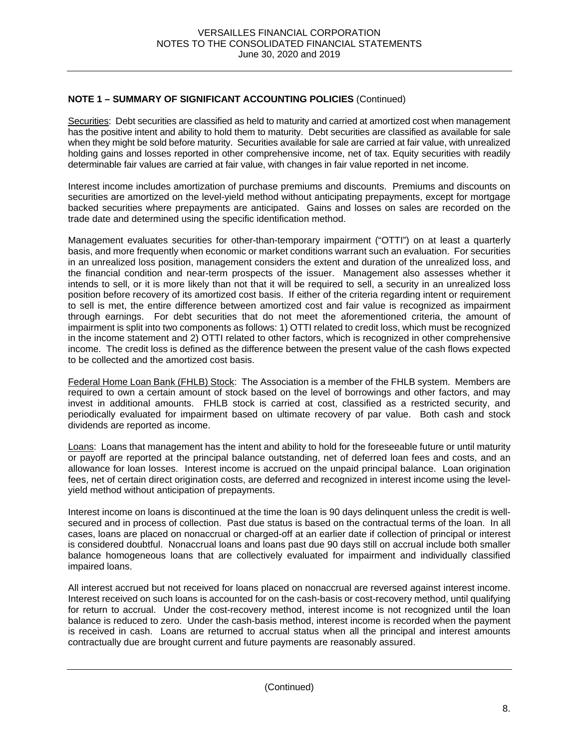Securities: Debt securities are classified as held to maturity and carried at amortized cost when management has the positive intent and ability to hold them to maturity. Debt securities are classified as available for sale when they might be sold before maturity. Securities available for sale are carried at fair value, with unrealized holding gains and losses reported in other comprehensive income, net of tax. Equity securities with readily determinable fair values are carried at fair value, with changes in fair value reported in net income.

Interest income includes amortization of purchase premiums and discounts. Premiums and discounts on securities are amortized on the level-yield method without anticipating prepayments, except for mortgage backed securities where prepayments are anticipated. Gains and losses on sales are recorded on the trade date and determined using the specific identification method.

Management evaluates securities for other-than-temporary impairment ("OTTI") on at least a quarterly basis, and more frequently when economic or market conditions warrant such an evaluation. For securities in an unrealized loss position, management considers the extent and duration of the unrealized loss, and the financial condition and near-term prospects of the issuer. Management also assesses whether it intends to sell, or it is more likely than not that it will be required to sell, a security in an unrealized loss position before recovery of its amortized cost basis. If either of the criteria regarding intent or requirement to sell is met, the entire difference between amortized cost and fair value is recognized as impairment through earnings. For debt securities that do not meet the aforementioned criteria, the amount of impairment is split into two components as follows: 1) OTTI related to credit loss, which must be recognized in the income statement and 2) OTTI related to other factors, which is recognized in other comprehensive income. The credit loss is defined as the difference between the present value of the cash flows expected to be collected and the amortized cost basis.

Federal Home Loan Bank (FHLB) Stock: The Association is a member of the FHLB system. Members are required to own a certain amount of stock based on the level of borrowings and other factors, and may invest in additional amounts. FHLB stock is carried at cost, classified as a restricted security, and periodically evaluated for impairment based on ultimate recovery of par value. Both cash and stock dividends are reported as income.

Loans: Loans that management has the intent and ability to hold for the foreseeable future or until maturity or payoff are reported at the principal balance outstanding, net of deferred loan fees and costs, and an allowance for loan losses. Interest income is accrued on the unpaid principal balance. Loan origination fees, net of certain direct origination costs, are deferred and recognized in interest income using the levelyield method without anticipation of prepayments.

Interest income on loans is discontinued at the time the loan is 90 days delinquent unless the credit is wellsecured and in process of collection. Past due status is based on the contractual terms of the loan. In all cases, loans are placed on nonaccrual or charged-off at an earlier date if collection of principal or interest is considered doubtful. Nonaccrual loans and loans past due 90 days still on accrual include both smaller balance homogeneous loans that are collectively evaluated for impairment and individually classified impaired loans.

All interest accrued but not received for loans placed on nonaccrual are reversed against interest income. Interest received on such loans is accounted for on the cash-basis or cost-recovery method, until qualifying for return to accrual. Under the cost-recovery method, interest income is not recognized until the loan balance is reduced to zero. Under the cash-basis method, interest income is recorded when the payment is received in cash. Loans are returned to accrual status when all the principal and interest amounts contractually due are brought current and future payments are reasonably assured.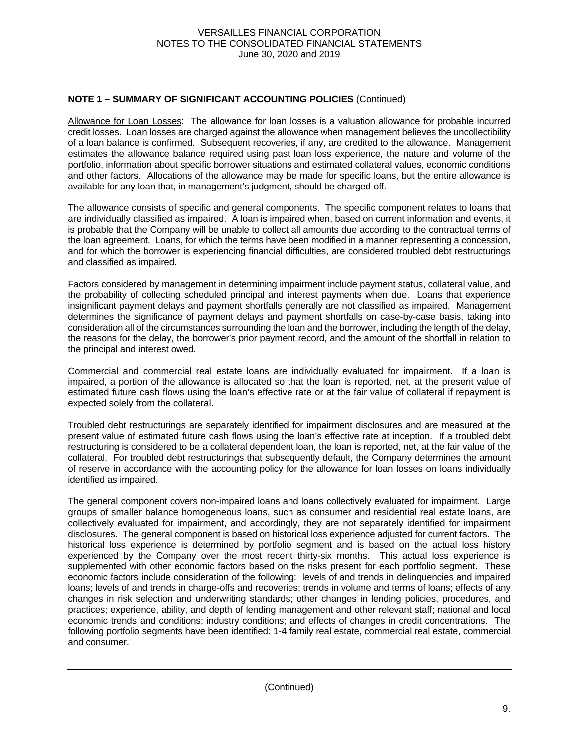Allowance for Loan Losses: The allowance for loan losses is a valuation allowance for probable incurred credit losses. Loan losses are charged against the allowance when management believes the uncollectibility of a loan balance is confirmed. Subsequent recoveries, if any, are credited to the allowance. Management estimates the allowance balance required using past loan loss experience, the nature and volume of the portfolio, information about specific borrower situations and estimated collateral values, economic conditions and other factors. Allocations of the allowance may be made for specific loans, but the entire allowance is available for any loan that, in management's judgment, should be charged-off.

The allowance consists of specific and general components. The specific component relates to loans that are individually classified as impaired. A loan is impaired when, based on current information and events, it is probable that the Company will be unable to collect all amounts due according to the contractual terms of the loan agreement. Loans, for which the terms have been modified in a manner representing a concession, and for which the borrower is experiencing financial difficulties, are considered troubled debt restructurings and classified as impaired.

Factors considered by management in determining impairment include payment status, collateral value, and the probability of collecting scheduled principal and interest payments when due. Loans that experience insignificant payment delays and payment shortfalls generally are not classified as impaired. Management determines the significance of payment delays and payment shortfalls on case-by-case basis, taking into consideration all of the circumstances surrounding the loan and the borrower, including the length of the delay, the reasons for the delay, the borrower's prior payment record, and the amount of the shortfall in relation to the principal and interest owed.

Commercial and commercial real estate loans are individually evaluated for impairment. If a loan is impaired, a portion of the allowance is allocated so that the loan is reported, net, at the present value of estimated future cash flows using the loan's effective rate or at the fair value of collateral if repayment is expected solely from the collateral.

Troubled debt restructurings are separately identified for impairment disclosures and are measured at the present value of estimated future cash flows using the loan's effective rate at inception. If a troubled debt restructuring is considered to be a collateral dependent loan, the loan is reported, net, at the fair value of the collateral. For troubled debt restructurings that subsequently default, the Company determines the amount of reserve in accordance with the accounting policy for the allowance for loan losses on loans individually identified as impaired.

The general component covers non-impaired loans and loans collectively evaluated for impairment. Large groups of smaller balance homogeneous loans, such as consumer and residential real estate loans, are collectively evaluated for impairment, and accordingly, they are not separately identified for impairment disclosures. The general component is based on historical loss experience adjusted for current factors. The historical loss experience is determined by portfolio segment and is based on the actual loss history experienced by the Company over the most recent thirty-six months. This actual loss experience is supplemented with other economic factors based on the risks present for each portfolio segment. These economic factors include consideration of the following: levels of and trends in delinquencies and impaired loans; levels of and trends in charge-offs and recoveries; trends in volume and terms of loans; effects of any changes in risk selection and underwriting standards; other changes in lending policies, procedures, and practices; experience, ability, and depth of lending management and other relevant staff; national and local economic trends and conditions; industry conditions; and effects of changes in credit concentrations. The following portfolio segments have been identified: 1-4 family real estate, commercial real estate, commercial and consumer.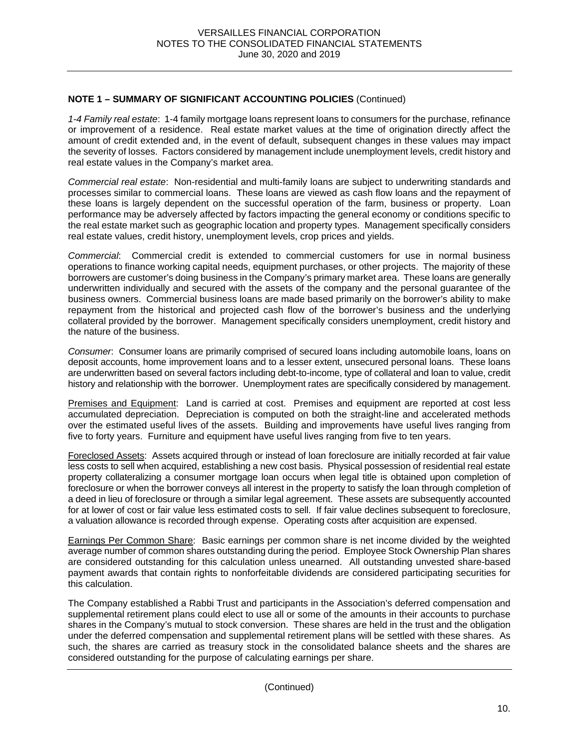*1-4 Family real estate*:1-4 family mortgage loans represent loans to consumers for the purchase, refinance or improvement of a residence. Real estate market values at the time of origination directly affect the amount of credit extended and, in the event of default, subsequent changes in these values may impact the severity of losses. Factors considered by management include unemployment levels, credit history and real estate values in the Company's market area.

*Commercial real estate*:Non-residential and multi-family loans are subject to underwriting standards and processes similar to commercial loans. These loans are viewed as cash flow loans and the repayment of these loans is largely dependent on the successful operation of the farm, business or property. Loan performance may be adversely affected by factors impacting the general economy or conditions specific to the real estate market such as geographic location and property types. Management specifically considers real estate values, credit history, unemployment levels, crop prices and yields.

*Commercial*: Commercial credit is extended to commercial customers for use in normal business operations to finance working capital needs, equipment purchases, or other projects. The majority of these borrowers are customer's doing business in the Company's primary market area. These loans are generally underwritten individually and secured with the assets of the company and the personal guarantee of the business owners. Commercial business loans are made based primarily on the borrower's ability to make repayment from the historical and projected cash flow of the borrower's business and the underlying collateral provided by the borrower. Management specifically considers unemployment, credit history and the nature of the business.

*Consumer*: Consumer loans are primarily comprised of secured loans including automobile loans, loans on deposit accounts, home improvement loans and to a lesser extent, unsecured personal loans. These loans are underwritten based on several factors including debt-to-income, type of collateral and loan to value, credit history and relationship with the borrower. Unemployment rates are specifically considered by management.

Premises and Equipment: Land is carried at cost. Premises and equipment are reported at cost less accumulated depreciation. Depreciation is computed on both the straight-line and accelerated methods over the estimated useful lives of the assets. Building and improvements have useful lives ranging from five to forty years. Furniture and equipment have useful lives ranging from five to ten years.

Foreclosed Assets: Assets acquired through or instead of loan foreclosure are initially recorded at fair value less costs to sell when acquired, establishing a new cost basis. Physical possession of residential real estate property collateralizing a consumer mortgage loan occurs when legal title is obtained upon completion of foreclosure or when the borrower conveys all interest in the property to satisfy the loan through completion of a deed in lieu of foreclosure or through a similar legal agreement. These assets are subsequently accounted for at lower of cost or fair value less estimated costs to sell. If fair value declines subsequent to foreclosure, a valuation allowance is recorded through expense. Operating costs after acquisition are expensed.

Earnings Per Common Share: Basic earnings per common share is net income divided by the weighted average number of common shares outstanding during the period. Employee Stock Ownership Plan shares are considered outstanding for this calculation unless unearned. All outstanding unvested share-based payment awards that contain rights to nonforfeitable dividends are considered participating securities for this calculation.

The Company established a Rabbi Trust and participants in the Association's deferred compensation and supplemental retirement plans could elect to use all or some of the amounts in their accounts to purchase shares in the Company's mutual to stock conversion. These shares are held in the trust and the obligation under the deferred compensation and supplemental retirement plans will be settled with these shares. As such, the shares are carried as treasury stock in the consolidated balance sheets and the shares are considered outstanding for the purpose of calculating earnings per share.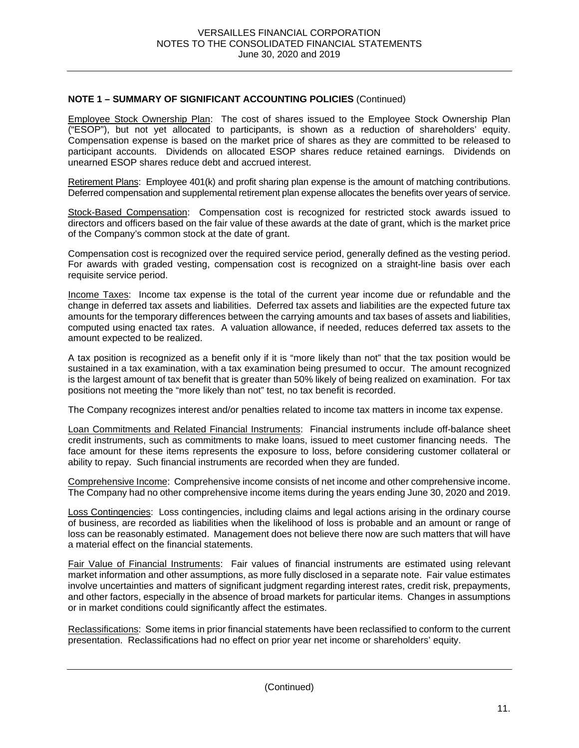Employee Stock Ownership Plan: The cost of shares issued to the Employee Stock Ownership Plan ("ESOP"), but not yet allocated to participants, is shown as a reduction of shareholders' equity. Compensation expense is based on the market price of shares as they are committed to be released to participant accounts. Dividends on allocated ESOP shares reduce retained earnings. Dividends on unearned ESOP shares reduce debt and accrued interest.

Retirement Plans: Employee 401(k) and profit sharing plan expense is the amount of matching contributions. Deferred compensation and supplemental retirement plan expense allocates the benefits over years of service.

Stock-Based Compensation: Compensation cost is recognized for restricted stock awards issued to directors and officers based on the fair value of these awards at the date of grant, which is the market price of the Company's common stock at the date of grant.

Compensation cost is recognized over the required service period, generally defined as the vesting period. For awards with graded vesting, compensation cost is recognized on a straight-line basis over each requisite service period.

Income Taxes: Income tax expense is the total of the current year income due or refundable and the change in deferred tax assets and liabilities. Deferred tax assets and liabilities are the expected future tax amounts for the temporary differences between the carrying amounts and tax bases of assets and liabilities, computed using enacted tax rates. A valuation allowance, if needed, reduces deferred tax assets to the amount expected to be realized.

A tax position is recognized as a benefit only if it is "more likely than not" that the tax position would be sustained in a tax examination, with a tax examination being presumed to occur. The amount recognized is the largest amount of tax benefit that is greater than 50% likely of being realized on examination. For tax positions not meeting the "more likely than not" test, no tax benefit is recorded.

The Company recognizes interest and/or penalties related to income tax matters in income tax expense.

Loan Commitments and Related Financial Instruments: Financial instruments include off-balance sheet credit instruments, such as commitments to make loans, issued to meet customer financing needs. The face amount for these items represents the exposure to loss, before considering customer collateral or ability to repay. Such financial instruments are recorded when they are funded.

Comprehensive Income: Comprehensive income consists of net income and other comprehensive income. The Company had no other comprehensive income items during the years ending June 30, 2020 and 2019.

Loss Contingencies: Loss contingencies, including claims and legal actions arising in the ordinary course of business, are recorded as liabilities when the likelihood of loss is probable and an amount or range of loss can be reasonably estimated. Management does not believe there now are such matters that will have a material effect on the financial statements.

Fair Value of Financial Instruments: Fair values of financial instruments are estimated using relevant market information and other assumptions, as more fully disclosed in a separate note. Fair value estimates involve uncertainties and matters of significant judgment regarding interest rates, credit risk, prepayments, and other factors, especially in the absence of broad markets for particular items. Changes in assumptions or in market conditions could significantly affect the estimates.

Reclassifications: Some items in prior financial statements have been reclassified to conform to the current presentation. Reclassifications had no effect on prior year net income or shareholders' equity.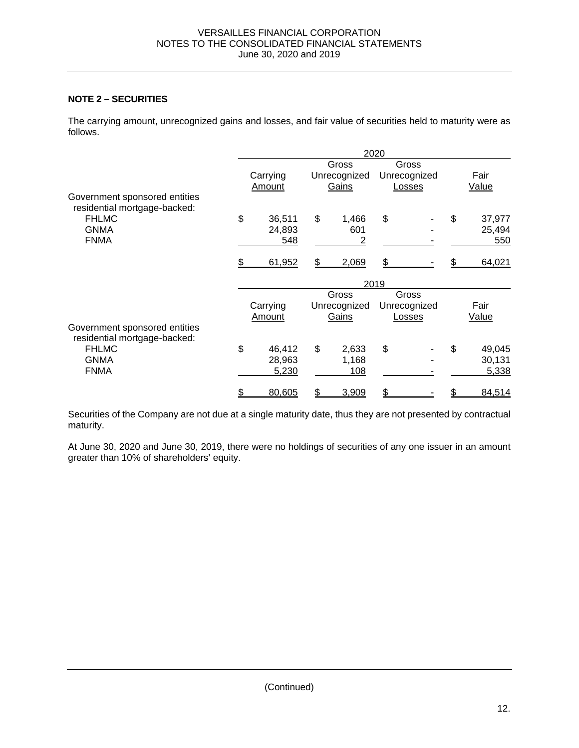## **NOTE 2 – SECURITIES**

The carrying amount, unrecognized gains and losses, and fair value of securities held to maturity were as follows.

|                                                               | 2020 |          |    |              |       |              |    |              |  |  |  |
|---------------------------------------------------------------|------|----------|----|--------------|-------|--------------|----|--------------|--|--|--|
|                                                               |      |          |    | Gross        |       | Gross        |    |              |  |  |  |
|                                                               |      | Carrying |    | Unrecognized |       | Unrecognized |    | Fair         |  |  |  |
|                                                               |      | Amount   |    | Gains        |       | Losses       |    | <b>Value</b> |  |  |  |
| Government sponsored entities<br>residential mortgage-backed: |      |          |    |              |       |              |    |              |  |  |  |
| <b>FHLMC</b>                                                  | \$   | 36,511   | \$ | 1,466        | \$    |              | \$ | 37,977       |  |  |  |
| <b>GNMA</b>                                                   |      | 24,893   |    | 601          |       |              |    | 25,494       |  |  |  |
| <b>FNMA</b>                                                   |      | 548      |    | 2            |       |              |    | 550          |  |  |  |
|                                                               |      | 61,952   | \$ | 2,069        | \$    |              |    | 64,021       |  |  |  |
|                                                               |      | 2019     |    |              |       |              |    |              |  |  |  |
|                                                               |      |          |    | Gross        | Gross |              |    |              |  |  |  |
|                                                               |      | Carrying |    | Unrecognized |       | Unrecognized |    | Fair         |  |  |  |
|                                                               |      | Amount   |    | Gains        |       | Losses       |    | <b>Value</b> |  |  |  |
| Government sponsored entities<br>residential mortgage-backed: |      |          |    |              |       |              |    |              |  |  |  |
| <b>FHLMC</b>                                                  | \$   | 46,412   | \$ | 2,633        | \$    |              | \$ | 49,045       |  |  |  |
| <b>GNMA</b>                                                   |      | 28,963   |    | 1,168        |       |              |    | 30,131       |  |  |  |
| <b>FNMA</b>                                                   |      | 5,230    |    | 108          |       |              |    | 5,338        |  |  |  |
|                                                               |      | 80,605   | \$ | 3,909        | \$    |              |    | 84,514       |  |  |  |

Securities of the Company are not due at a single maturity date, thus they are not presented by contractual maturity.

At June 30, 2020 and June 30, 2019, there were no holdings of securities of any one issuer in an amount greater than 10% of shareholders' equity.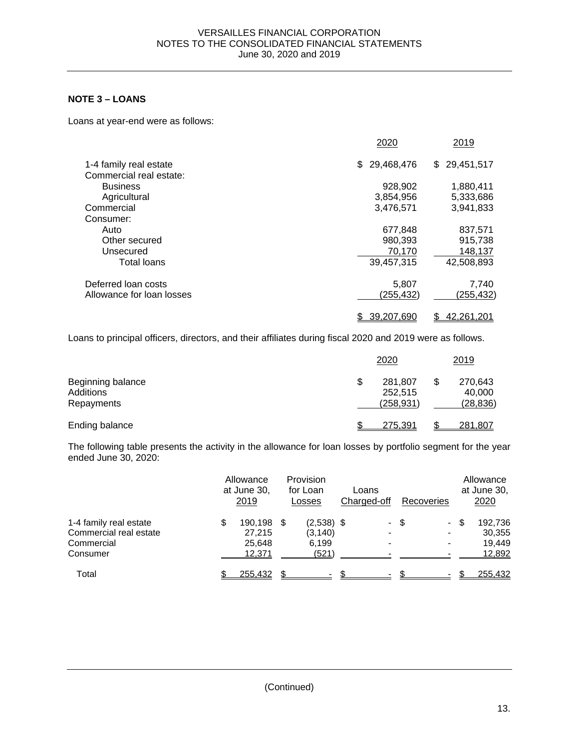## **NOTE 3 – LOANS**

Loans at year-end were as follows:

|                           | 2020              | 2019              |
|---------------------------|-------------------|-------------------|
| 1-4 family real estate    | 29,468,476<br>\$. | \$29,451,517      |
| Commercial real estate:   |                   |                   |
| <b>Business</b>           | 928,902           | 1,880,411         |
| Agricultural              | 3,854,956         | 5,333,686         |
| Commercial                | 3,476,571         | 3,941,833         |
| Consumer:                 |                   |                   |
| Auto                      | 677.848           | 837,571           |
| Other secured             | 980,393           | 915,738           |
| Unsecured                 | 70.170            | 148,137           |
| <b>Total loans</b>        | 39,457,315        | 42,508,893        |
| Deferred loan costs       | 5,807             | 7,740             |
| Allowance for loan losses | (255, 432)        | (255, 432)        |
|                           | 39,207,690<br>S   | <u>42,261,201</u> |

Loans to principal officers, directors, and their affiliates during fiscal 2020 and 2019 were as follows.

|                                              | 2020                                   | 2019                                 |
|----------------------------------------------|----------------------------------------|--------------------------------------|
| Beginning balance<br>Additions<br>Repayments | \$<br>281,807<br>252,515<br>(258, 931) | \$<br>270,643<br>40,000<br>(28, 836) |
| Ending balance                               | 275,391                                | <u>281,807</u>                       |

The following table presents the activity in the allowance for loan losses by portfolio segment for the year ended June 30, 2020:

|                                                                            | Allowance<br>at June 30,<br><u>2019</u>        | Provision<br>for Loan<br>Losses            | Loans<br>Charged-off |      | Recoveries |     | Allowance<br>at June 30,<br>2020      |
|----------------------------------------------------------------------------|------------------------------------------------|--------------------------------------------|----------------------|------|------------|-----|---------------------------------------|
| 1-4 family real estate<br>Commercial real estate<br>Commercial<br>Consumer | \$<br>190,198 \$<br>27,215<br>25.648<br>12,371 | $(2,538)$ \$<br>(3, 140)<br>6.199<br>(521) |                      | - \$ | $\sim$     | -\$ | 192,736<br>30,355<br>19.449<br>12,892 |
| Total                                                                      | 255,432                                        | \$                                         | \$                   |      |            |     | 255,432                               |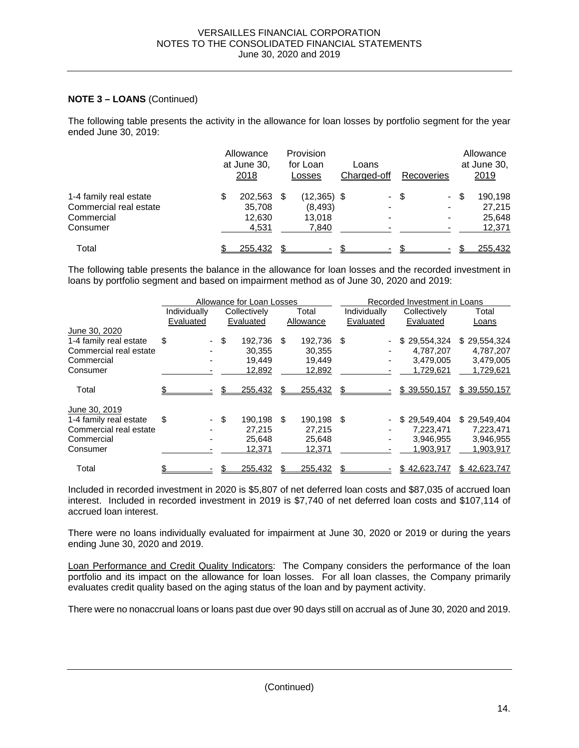## **NOTE 3 – LOANS** (Continued)

The following table presents the activity in the allowance for loan losses by portfolio segment for the year ended June 30, 2019:

|                        | Allowance<br>at June 30,<br>2018 |      | Provision<br>for Loan<br>Losses | Loans<br>Charged-off |     | Recoveries                   | Allowance<br>at June 30,<br>2019 |
|------------------------|----------------------------------|------|---------------------------------|----------------------|-----|------------------------------|----------------------------------|
| 1-4 family real estate | \$<br>202,563                    | - \$ | $(12,365)$ \$                   | $\sim$               | -\$ | $\blacksquare$               | \$<br>190,198                    |
| Commercial real estate | 35,708                           |      | (8, 493)                        |                      |     | $\qquad \qquad \blacksquare$ | 27.215                           |
| Commercial             | 12,630                           |      | 13.018                          |                      |     | -                            | 25,648                           |
| Consumer               | 4,531                            |      | 7,840                           |                      |     |                              | 12,371                           |
| Total                  | 255,432                          |      |                                 |                      |     |                              | 255,432                          |

The following table presents the balance in the allowance for loan losses and the recorded investment in loans by portfolio segment and based on impairment method as of June 30, 2020 and 2019:

|                        |              |      | Allowance for Loan Losses |     |            | Recorded Investment in Loans |   |              |              |  |
|------------------------|--------------|------|---------------------------|-----|------------|------------------------------|---|--------------|--------------|--|
|                        | Individually |      | Collectively              |     | Total      | Individually                 |   | Collectively | Total        |  |
|                        | Evaluated    |      | Evaluated                 |     | Allowance  | Evaluated                    |   | Evaluated    | Loans        |  |
| June 30, 2020          |              |      |                           |     |            |                              |   |              |              |  |
| 1-4 family real estate | \$           | - \$ | 192,736                   | \$. | 192,736    | \$                           |   | \$29,554,324 | \$29,554,324 |  |
| Commercial real estate |              |      | 30.355                    |     | 30.355     |                              |   | 4.787.207    | 4.787.207    |  |
| Commercial             |              |      | 19.449                    |     | 19.449     |                              | ٠ | 3,479,005    | 3,479,005    |  |
| Consumer               |              |      | 12,892                    |     | 12,892     |                              |   | 1,729,621    | 1,729,621    |  |
| Total                  |              | \$.  | 255,432                   |     | 255,432    |                              |   | \$39,550,157 | \$39,550,157 |  |
| June 30, 2019          |              |      |                           |     |            |                              |   |              |              |  |
| 1-4 family real estate | \$           | - \$ | 190.198                   | \$  | 190.198 \$ |                              |   | \$29,549,404 | \$29,549,404 |  |
| Commercial real estate |              |      | 27.215                    |     | 27.215     |                              |   | 7.223.471    | 7,223,471    |  |
| Commercial             |              |      | 25.648                    |     | 25.648     |                              |   | 3,946,955    | 3,946,955    |  |
| Consumer               |              |      | 12,371                    |     | 12,371     |                              |   | 1,903,917    | 1,903,917    |  |
| Total                  |              |      | 255,432                   |     | 255,432    | \$.                          |   | \$42,623,747 | \$42,623,747 |  |

Included in recorded investment in 2020 is \$5,807 of net deferred loan costs and \$87,035 of accrued loan interest. Included in recorded investment in 2019 is \$7,740 of net deferred loan costs and \$107,114 of accrued loan interest.

There were no loans individually evaluated for impairment at June 30, 2020 or 2019 or during the years ending June 30, 2020 and 2019.

Loan Performance and Credit Quality Indicators: The Company considers the performance of the loan portfolio and its impact on the allowance for loan losses. For all loan classes, the Company primarily evaluates credit quality based on the aging status of the loan and by payment activity.

There were no nonaccrual loans or loans past due over 90 days still on accrual as of June 30, 2020 and 2019.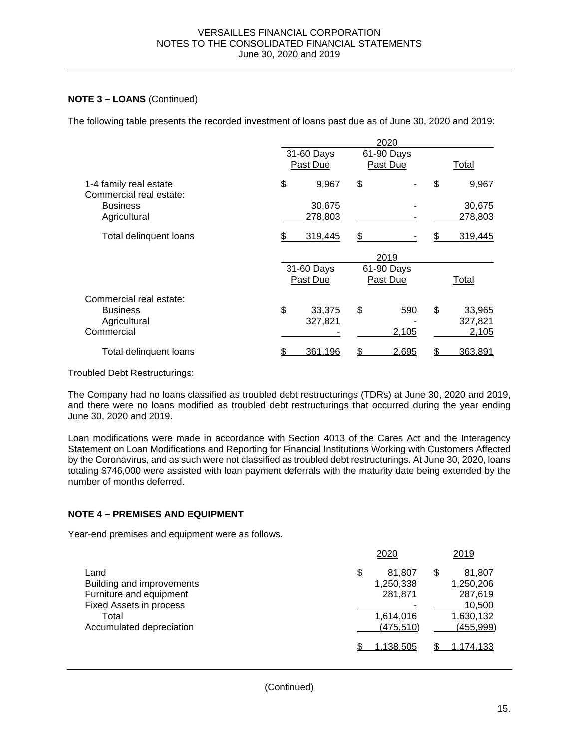## **NOTE 3 – LOANS** (Continued)

The following table presents the recorded investment of loans past due as of June 30, 2020 and 2019:

|                                                   |                        | 2020                   |              |  |
|---------------------------------------------------|------------------------|------------------------|--------------|--|
|                                                   | 31-60 Days<br>Past Due | 61-90 Days<br>Past Due | Total        |  |
| 1-4 family real estate<br>Commercial real estate: | \$<br>9,967            | \$                     | \$<br>9,967  |  |
| <b>Business</b>                                   | 30,675                 |                        | 30,675       |  |
| Agricultural                                      | 278,803                |                        | 278,803      |  |
| Total delinquent loans                            | 319,445                |                        | 319,445      |  |
|                                                   |                        | 2019                   |              |  |
|                                                   | 31-60 Days             | 61-90 Days             |              |  |
|                                                   | Past Due               | Past Due               | Total        |  |
| Commercial real estate:                           |                        |                        |              |  |
| <b>Business</b>                                   | \$<br>33,375           | \$<br>590              | \$<br>33,965 |  |
| Agricultural                                      | 327,821                |                        | 327,821      |  |
| Commercial                                        |                        | 2,105                  | 2,105        |  |
|                                                   |                        |                        |              |  |
| Total delinquent loans                            | 361,196                | 2,695                  | 363,891<br>S |  |

Troubled Debt Restructurings:

The Company had no loans classified as troubled debt restructurings (TDRs) at June 30, 2020 and 2019, and there were no loans modified as troubled debt restructurings that occurred during the year ending June 30, 2020 and 2019.

Loan modifications were made in accordance with Section 4013 of the Cares Act and the Interagency Statement on Loan Modifications and Reporting for Financial Institutions Working with Customers Affected by the Coronavirus, and as such were not classified as troubled debt restructurings. At June 30, 2020, loans totaling \$746,000 were assisted with loan payment deferrals with the maturity date being extended by the number of months deferred.

### **NOTE 4 – PREMISES AND EQUIPMENT**

Year-end premises and equipment were as follows.

|                                                                                                                              | 2020                                                            | 2019                                                                      |
|------------------------------------------------------------------------------------------------------------------------------|-----------------------------------------------------------------|---------------------------------------------------------------------------|
| Land<br>Building and improvements<br>Furniture and equipment<br>Fixed Assets in process<br>Total<br>Accumulated depreciation | \$<br>81.807<br>1,250,338<br>281,871<br>1,614,016<br>(475, 510) | \$<br>81,807<br>1,250,206<br>287,619<br>10,500<br>1,630,132<br>(455, 999) |
|                                                                                                                              | 1.138.505                                                       | 1,174,133                                                                 |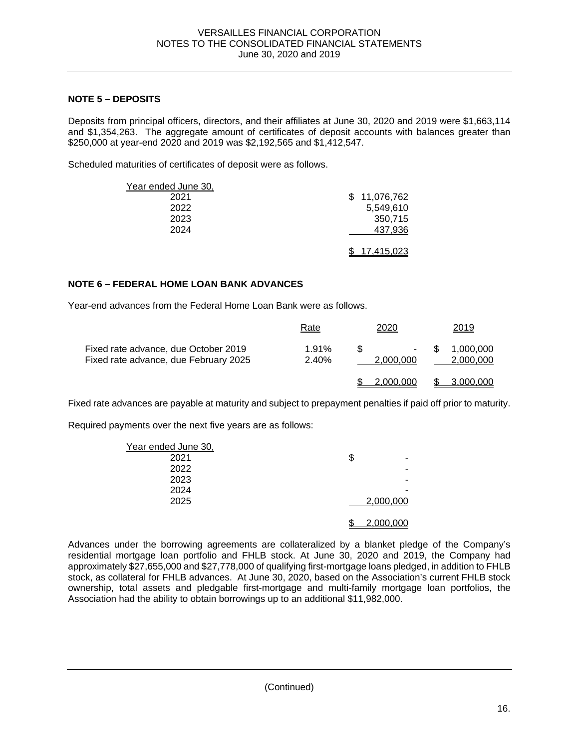## **NOTE 5 – DEPOSITS**

Deposits from principal officers, directors, and their affiliates at June 30, 2020 and 2019 were \$1,663,114 and \$1,354,263. The aggregate amount of certificates of deposit accounts with balances greater than \$250,000 at year-end 2020 and 2019 was \$2,192,565 and \$1,412,547.

Scheduled maturities of certificates of deposit were as follows.

|              | Year ended June 30, |
|--------------|---------------------|
| \$11,076,762 | 2021                |
| 5,549,610    | 2022                |
| 350,715      | 2023                |
| 437,936      | 2024                |
|              |                     |
| 17,415,023   |                     |

### **NOTE 6 – FEDERAL HOME LOAN BANK ADVANCES**

Year-end advances from the Federal Home Loan Bank were as follows.

|                                                                               | Rate           | 2020                | 2019                         |
|-------------------------------------------------------------------------------|----------------|---------------------|------------------------------|
| Fixed rate advance, due October 2019<br>Fixed rate advance, due February 2025 | 1.91%<br>2.40% | $\sim$<br>2.000.000 | 1.000.000<br>S.<br>2,000,000 |
|                                                                               |                | .000.000            | 3.000.000                    |

Fixed rate advances are payable at maturity and subject to prepayment penalties if paid off prior to maturity.

Required payments over the next five years are as follows:

|           | Year ended June 30, |
|-----------|---------------------|
| ۰         | \$<br>2021          |
| ۰         | 2022                |
| ۰         | 2023                |
| -         | 2024                |
| 2,000,000 | 2025                |
| 2,000,000 |                     |

Advances under the borrowing agreements are collateralized by a blanket pledge of the Company's residential mortgage loan portfolio and FHLB stock. At June 30, 2020 and 2019, the Company had approximately \$27,655,000 and \$27,778,000 of qualifying first-mortgage loans pledged, in addition to FHLB stock, as collateral for FHLB advances. At June 30, 2020, based on the Association's current FHLB stock ownership, total assets and pledgable first-mortgage and multi-family mortgage loan portfolios, the Association had the ability to obtain borrowings up to an additional \$11,982,000.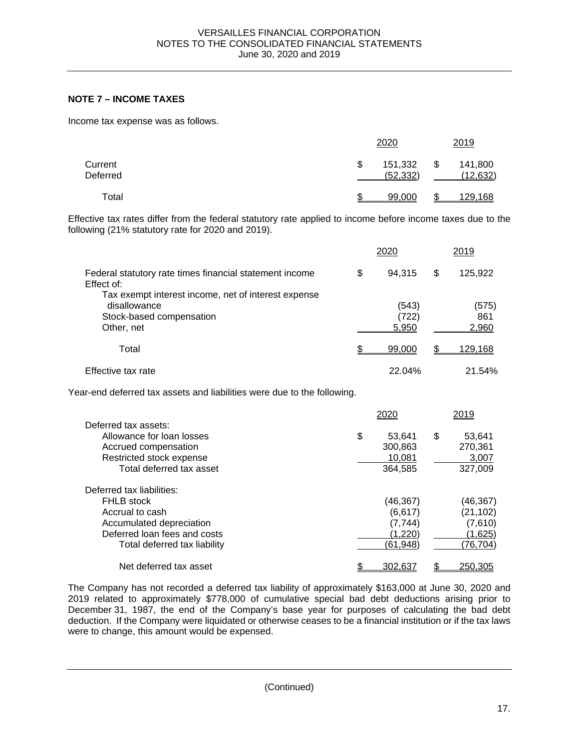## **NOTE 7 – INCOME TAXES**

Income tax expense was as follows.

| Current<br>Deferred |    | 2020                 |    | 2019                 |  |  |
|---------------------|----|----------------------|----|----------------------|--|--|
|                     | \$ | 151,332<br>(52, 332) | \$ | 141,800<br>(12, 632) |  |  |
| Total               | c  | 99,000               | ጦ  | 129,168              |  |  |

Effective tax rates differ from the federal statutory rate applied to income before income taxes due to the following (21% statutory rate for 2020 and 2019).

|                                                                                                               | 2020                    | 2019                  |
|---------------------------------------------------------------------------------------------------------------|-------------------------|-----------------------|
| Federal statutory rate times financial statement income<br>Effect of:                                         | \$<br>94.315            | \$<br>125,922         |
| Tax exempt interest income, net of interest expense<br>disallowance<br>Stock-based compensation<br>Other, net | (543)<br>(722)<br>5,950 | (575)<br>861<br>2,960 |
| Total                                                                                                         | 99,000                  | <u>129,168</u>        |
| Effective tax rate                                                                                            | 22.04%                  | 21.54%                |

Year-end deferred tax assets and liabilities were due to the following.

|                              | 2020         | 2019         |
|------------------------------|--------------|--------------|
| Deferred tax assets:         |              |              |
| Allowance for loan losses    | \$<br>53,641 | \$<br>53,641 |
| Accrued compensation         | 300,863      | 270,361      |
| Restricted stock expense     | 10.081       | 3,007        |
| Total deferred tax asset     | 364,585      | 327,009      |
| Deferred tax liabilities:    |              |              |
| <b>FHLB</b> stock            | (46,367)     | (46,367)     |
| Accrual to cash              | (6, 617)     | (21, 102)    |
| Accumulated depreciation     | (7, 744)     | (7,610)      |
| Deferred loan fees and costs | (1,220)      | (1,625)      |
| Total deferred tax liability | (61, 948)    | (76,704)     |
| Net deferred tax asset       | 302.637      | 250.305      |

The Company has not recorded a deferred tax liability of approximately \$163,000 at June 30, 2020 and 2019 related to approximately \$778,000 of cumulative special bad debt deductions arising prior to December 31, 1987, the end of the Company's base year for purposes of calculating the bad debt deduction. If the Company were liquidated or otherwise ceases to be a financial institution or if the tax laws were to change, this amount would be expensed.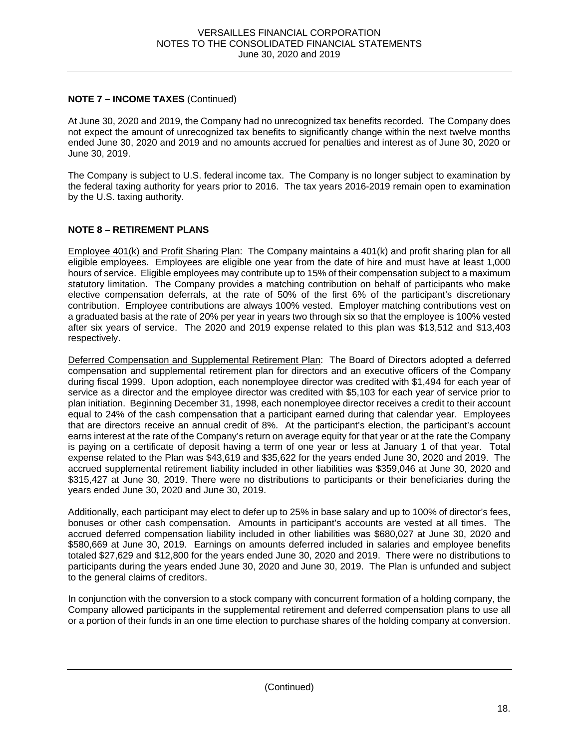## **NOTE 7 – INCOME TAXES** (Continued)

At June 30, 2020 and 2019, the Company had no unrecognized tax benefits recorded. The Company does not expect the amount of unrecognized tax benefits to significantly change within the next twelve months ended June 30, 2020 and 2019 and no amounts accrued for penalties and interest as of June 30, 2020 or June 30, 2019.

The Company is subject to U.S. federal income tax. The Company is no longer subject to examination by the federal taxing authority for years prior to 2016. The tax years 2016-2019 remain open to examination by the U.S. taxing authority.

## **NOTE 8 – RETIREMENT PLANS**

Employee 401(k) and Profit Sharing Plan: The Company maintains a 401(k) and profit sharing plan for all eligible employees. Employees are eligible one year from the date of hire and must have at least 1,000 hours of service. Eligible employees may contribute up to 15% of their compensation subject to a maximum statutory limitation. The Company provides a matching contribution on behalf of participants who make elective compensation deferrals, at the rate of 50% of the first 6% of the participant's discretionary contribution. Employee contributions are always 100% vested. Employer matching contributions vest on a graduated basis at the rate of 20% per year in years two through six so that the employee is 100% vested after six years of service. The 2020 and 2019 expense related to this plan was \$13,512 and \$13,403 respectively.

Deferred Compensation and Supplemental Retirement Plan: The Board of Directors adopted a deferred compensation and supplemental retirement plan for directors and an executive officers of the Company during fiscal 1999. Upon adoption, each nonemployee director was credited with \$1,494 for each year of service as a director and the employee director was credited with \$5,103 for each year of service prior to plan initiation. Beginning December 31, 1998, each nonemployee director receives a credit to their account equal to 24% of the cash compensation that a participant earned during that calendar year. Employees that are directors receive an annual credit of 8%. At the participant's election, the participant's account earns interest at the rate of the Company's return on average equity for that year or at the rate the Company is paying on a certificate of deposit having a term of one year or less at January 1 of that year. Total expense related to the Plan was \$43,619 and \$35,622 for the years ended June 30, 2020 and 2019. The accrued supplemental retirement liability included in other liabilities was \$359,046 at June 30, 2020 and \$315,427 at June 30, 2019. There were no distributions to participants or their beneficiaries during the years ended June 30, 2020 and June 30, 2019.

Additionally, each participant may elect to defer up to 25% in base salary and up to 100% of director's fees, bonuses or other cash compensation. Amounts in participant's accounts are vested at all times. The accrued deferred compensation liability included in other liabilities was \$680,027 at June 30, 2020 and \$580,669 at June 30, 2019. Earnings on amounts deferred included in salaries and employee benefits totaled \$27,629 and \$12,800 for the years ended June 30, 2020 and 2019. There were no distributions to participants during the years ended June 30, 2020 and June 30, 2019. The Plan is unfunded and subject to the general claims of creditors.

In conjunction with the conversion to a stock company with concurrent formation of a holding company, the Company allowed participants in the supplemental retirement and deferred compensation plans to use all or a portion of their funds in an one time election to purchase shares of the holding company at conversion.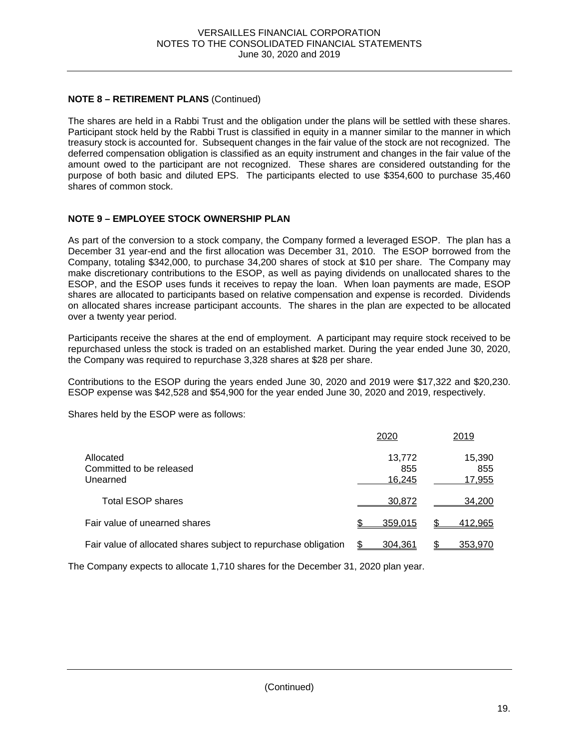## **NOTE 8 – RETIREMENT PLANS** (Continued)

The shares are held in a Rabbi Trust and the obligation under the plans will be settled with these shares. Participant stock held by the Rabbi Trust is classified in equity in a manner similar to the manner in which treasury stock is accounted for. Subsequent changes in the fair value of the stock are not recognized. The deferred compensation obligation is classified as an equity instrument and changes in the fair value of the amount owed to the participant are not recognized. These shares are considered outstanding for the purpose of both basic and diluted EPS. The participants elected to use \$354,600 to purchase 35,460 shares of common stock.

## **NOTE 9 – EMPLOYEE STOCK OWNERSHIP PLAN**

As part of the conversion to a stock company, the Company formed a leveraged ESOP. The plan has a December 31 year-end and the first allocation was December 31, 2010. The ESOP borrowed from the Company, totaling \$342,000, to purchase 34,200 shares of stock at \$10 per share. The Company may make discretionary contributions to the ESOP, as well as paying dividends on unallocated shares to the ESOP, and the ESOP uses funds it receives to repay the loan. When loan payments are made, ESOP shares are allocated to participants based on relative compensation and expense is recorded. Dividends on allocated shares increase participant accounts. The shares in the plan are expected to be allocated over a twenty year period.

Participants receive the shares at the end of employment. A participant may require stock received to be repurchased unless the stock is traded on an established market. During the year ended June 30, 2020, the Company was required to repurchase 3,328 shares at \$28 per share.

Contributions to the ESOP during the years ended June 30, 2020 and 2019 were \$17,322 and \$20,230. ESOP expense was \$42,528 and \$54,900 for the year ended June 30, 2020 and 2019, respectively.

Shares held by the ESOP were as follows:

|                                                                 | 2020                    | 2019                    |
|-----------------------------------------------------------------|-------------------------|-------------------------|
| Allocated<br>Committed to be released<br>Unearned               | 13,772<br>855<br>16,245 | 15,390<br>855<br>17,955 |
| <b>Total ESOP shares</b>                                        | 30,872                  | 34.200                  |
| Fair value of unearned shares                                   | 359,015                 | <u>412,965</u>          |
| Fair value of allocated shares subject to repurchase obligation | 304.361                 | <u>353,970</u>          |

The Company expects to allocate 1,710 shares for the December 31, 2020 plan year.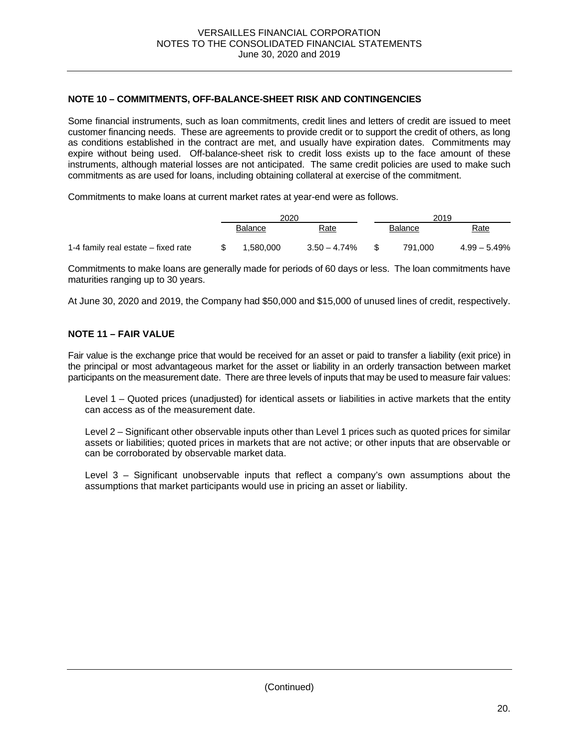## **NOTE 10 – COMMITMENTS, OFF-BALANCE-SHEET RISK AND CONTINGENCIES**

Some financial instruments, such as loan commitments, credit lines and letters of credit are issued to meet customer financing needs. These are agreements to provide credit or to support the credit of others, as long as conditions established in the contract are met, and usually have expiration dates. Commitments may expire without being used. Off-balance-sheet risk to credit loss exists up to the face amount of these instruments, although material losses are not anticipated. The same credit policies are used to make such commitments as are used for loans, including obtaining collateral at exercise of the commitment.

Commitments to make loans at current market rates at year-end were as follows.

|                                     | 2020           |                 |         | 2019        |                |
|-------------------------------------|----------------|-----------------|---------|-------------|----------------|
|                                     | <b>Balance</b> | Rate            | Balance | <u>Rate</u> |                |
| 1-4 family real estate – fixed rate | 1.580.000      | $3.50 - 4.74\%$ |         | 791.000     | $4.99 - 5.49%$ |

Commitments to make loans are generally made for periods of 60 days or less. The loan commitments have maturities ranging up to 30 years.

At June 30, 2020 and 2019, the Company had \$50,000 and \$15,000 of unused lines of credit, respectively.

### **NOTE 11 – FAIR VALUE**

Fair value is the exchange price that would be received for an asset or paid to transfer a liability (exit price) in the principal or most advantageous market for the asset or liability in an orderly transaction between market participants on the measurement date. There are three levels of inputs that may be used to measure fair values:

 Level 1 – Quoted prices (unadjusted) for identical assets or liabilities in active markets that the entity can access as of the measurement date.

Level 2 – Significant other observable inputs other than Level 1 prices such as quoted prices for similar assets or liabilities; quoted prices in markets that are not active; or other inputs that are observable or can be corroborated by observable market data.

 Level 3 – Significant unobservable inputs that reflect a company's own assumptions about the assumptions that market participants would use in pricing an asset or liability.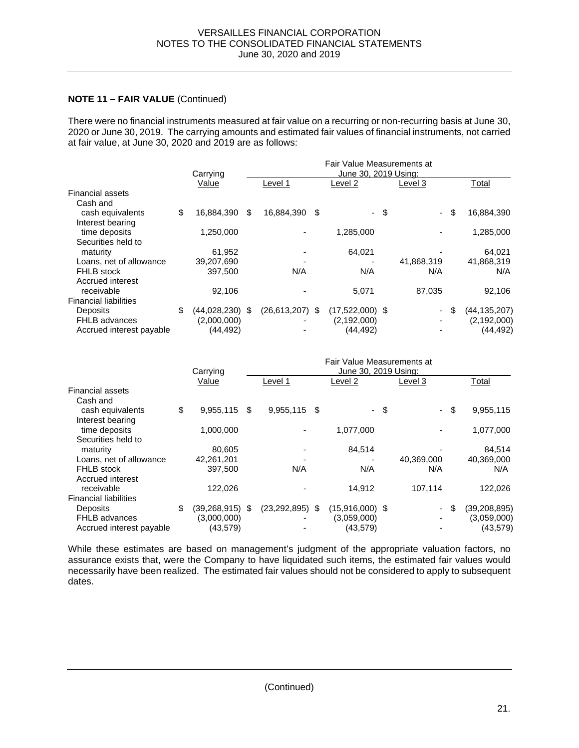### **NOTE 11 – FAIR VALUE** (Continued)

There were no financial instruments measured at fair value on a recurring or non-recurring basis at June 30, 2020 or June 30, 2019. The carrying amounts and estimated fair values of financial instruments, not carried at fair value, at June 30, 2020 and 2019 are as follows:

|                              | Fair Value Measurements at |    |                      |      |                   |      |            |      |                |  |  |  |
|------------------------------|----------------------------|----|----------------------|------|-------------------|------|------------|------|----------------|--|--|--|
|                              | Carrying                   |    | June 30, 2019 Using: |      |                   |      |            |      |                |  |  |  |
|                              | Value                      |    | Level 1              |      | Level 2           |      | Level 3    |      | Total          |  |  |  |
| <b>Financial assets</b>      |                            |    |                      |      |                   |      |            |      |                |  |  |  |
| Cash and                     |                            |    |                      |      |                   |      |            |      |                |  |  |  |
| cash equivalents             | \$<br>16,884,390           | \$ | 16,884,390           | - \$ |                   | - \$ | $\sim$     | \$   | 16,884,390     |  |  |  |
| Interest bearing             |                            |    |                      |      |                   |      |            |      |                |  |  |  |
| time deposits                | 1,250,000                  |    |                      |      | 1,285,000         |      |            |      | 1,285,000      |  |  |  |
| Securities held to           |                            |    |                      |      |                   |      |            |      |                |  |  |  |
| maturity                     | 61,952                     |    |                      |      | 64.021            |      |            |      | 64,021         |  |  |  |
| Loans, net of allowance      | 39,207,690                 |    |                      |      |                   |      | 41,868,319 |      | 41,868,319     |  |  |  |
| FHLB stock                   | 397,500                    |    | N/A                  |      | N/A               |      | N/A        |      | N/A            |  |  |  |
| Accrued interest             |                            |    |                      |      |                   |      |            |      |                |  |  |  |
| receivable                   | 92,106                     |    |                      |      | 5,071             |      | 87,035     |      | 92,106         |  |  |  |
| <b>Financial liabilities</b> |                            |    |                      |      |                   |      |            |      |                |  |  |  |
| <b>Deposits</b>              | \$<br>$(44,028,230)$ \$    |    | $(26.613.207)$ \$    |      | $(17,522,000)$ \$ |      |            | - \$ | (44, 135, 207) |  |  |  |
| <b>FHLB</b> advances         | (2,000,000)                |    |                      |      | (2, 192, 000)     |      |            |      | (2, 192, 000)  |  |  |  |
| Accrued interest payable     | (44, 492)                  |    |                      |      | (44,492)          |      |            |      | (44, 492)      |  |  |  |

|                              |                           |    | Fair Value Measurements at<br>June 30, 2019 Using: |  |                   |    |            |      |                |  |  |
|------------------------------|---------------------------|----|----------------------------------------------------|--|-------------------|----|------------|------|----------------|--|--|
|                              | Carrying                  |    |                                                    |  |                   |    |            |      |                |  |  |
|                              | Value                     |    | Level 1                                            |  | Level 2           |    | Level 3    |      | Total          |  |  |
| <b>Financial assets</b>      |                           |    |                                                    |  |                   |    |            |      |                |  |  |
| Cash and                     |                           |    |                                                    |  |                   |    |            |      |                |  |  |
| cash equivalents             | \$<br>9,955,115           | \$ | $9,955,115$ \$                                     |  | ÷.                | \$ | $\sim$     | \$   | 9,955,115      |  |  |
| Interest bearing             |                           |    |                                                    |  |                   |    |            |      |                |  |  |
| time deposits                | 1,000,000                 |    |                                                    |  | 1,077,000         |    |            |      | 1,077,000      |  |  |
| Securities held to           |                           |    |                                                    |  |                   |    |            |      |                |  |  |
| maturity                     | 80,605                    |    |                                                    |  | 84,514            |    |            |      | 84,514         |  |  |
| Loans, net of allowance      | 42,261,201                |    |                                                    |  |                   |    | 40,369,000 |      | 40,369,000     |  |  |
| <b>FHLB</b> stock            | 397.500                   |    | N/A                                                |  | N/A               |    | N/A        |      | N/A            |  |  |
| Accrued interest             |                           |    |                                                    |  |                   |    |            |      |                |  |  |
| receivable                   | 122.026                   |    |                                                    |  | 14.912            |    | 107,114    |      | 122,026        |  |  |
| <b>Financial liabilities</b> |                           |    |                                                    |  |                   |    |            |      |                |  |  |
| Deposits                     | \$<br>$(39, 268, 915)$ \$ |    | $(23, 292, 895)$ \$                                |  | $(15,916,000)$ \$ |    |            | - \$ | (39, 208, 895) |  |  |
| <b>FHLB</b> advances         | (3,000,000)               |    |                                                    |  | (3,059,000)       |    |            |      | (3,059,000)    |  |  |
| Accrued interest payable     | (43, 579)                 |    |                                                    |  | (43, 579)         |    |            |      | (43, 579)      |  |  |

While these estimates are based on management's judgment of the appropriate valuation factors, no assurance exists that, were the Company to have liquidated such items, the estimated fair values would necessarily have been realized. The estimated fair values should not be considered to apply to subsequent dates.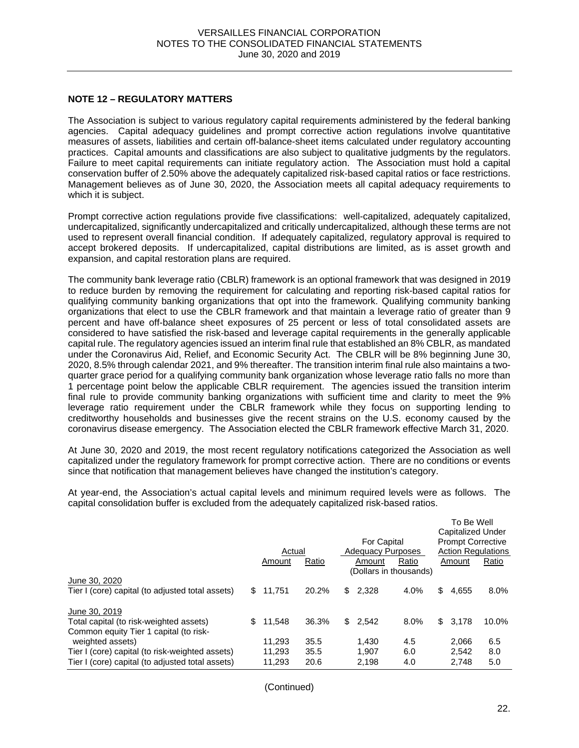#### **NOTE 12 – REGULATORY MATTERS**

The Association is subject to various regulatory capital requirements administered by the federal banking agencies. Capital adequacy guidelines and prompt corrective action regulations involve quantitative measures of assets, liabilities and certain off-balance-sheet items calculated under regulatory accounting practices. Capital amounts and classifications are also subject to qualitative judgments by the regulators. Failure to meet capital requirements can initiate regulatory action. The Association must hold a capital conservation buffer of 2.50% above the adequately capitalized risk-based capital ratios or face restrictions. Management believes as of June 30, 2020, the Association meets all capital adequacy requirements to which it is subject.

Prompt corrective action regulations provide five classifications: well-capitalized, adequately capitalized, undercapitalized, significantly undercapitalized and critically undercapitalized, although these terms are not used to represent overall financial condition. If adequately capitalized, regulatory approval is required to accept brokered deposits. If undercapitalized, capital distributions are limited, as is asset growth and expansion, and capital restoration plans are required.

The community bank leverage ratio (CBLR) framework is an optional framework that was designed in 2019 to reduce burden by removing the requirement for calculating and reporting risk-based capital ratios for qualifying community banking organizations that opt into the framework. Qualifying community banking organizations that elect to use the CBLR framework and that maintain a leverage ratio of greater than 9 percent and have off-balance sheet exposures of 25 percent or less of total consolidated assets are considered to have satisfied the risk-based and leverage capital requirements in the generally applicable capital rule. The regulatory agencies issued an interim final rule that established an 8% CBLR, as mandated under the Coronavirus Aid, Relief, and Economic Security Act. The CBLR will be 8% beginning June 30, 2020, 8.5% through calendar 2021, and 9% thereafter. The transition interim final rule also maintains a twoquarter grace period for a qualifying community bank organization whose leverage ratio falls no more than 1 percentage point below the applicable CBLR requirement. The agencies issued the transition interim final rule to provide community banking organizations with sufficient time and clarity to meet the 9% leverage ratio requirement under the CBLR framework while they focus on supporting lending to creditworthy households and businesses give the recent strains on the U.S. economy caused by the coronavirus disease emergency. The Association elected the CBLR framework effective March 31, 2020.

At June 30, 2020 and 2019, the most recent regulatory notifications categorized the Association as well capitalized under the regulatory framework for prompt corrective action. There are no conditions or events since that notification that management believes have changed the institution's category.

At year-end, the Association's actual capital levels and minimum required levels were as follows. The capital consolidation buffer is excluded from the adequately capitalized risk-based ratios.

|                                                  |     |        |       |     |                          |                        |                           | To Be Well |         |  |
|--------------------------------------------------|-----|--------|-------|-----|--------------------------|------------------------|---------------------------|------------|---------|--|
|                                                  |     |        |       |     |                          |                        | <b>Capitalized Under</b>  |            |         |  |
|                                                  |     |        |       |     | For Capital              |                        | <b>Prompt Corrective</b>  |            |         |  |
|                                                  |     | Actual |       |     | <b>Adequacy Purposes</b> |                        | <b>Action Regulations</b> |            |         |  |
|                                                  |     | Amount | Ratio |     | Amount                   | Ratio                  |                           | Amount     | Ratio   |  |
|                                                  |     |        |       |     |                          | (Dollars in thousands) |                           |            |         |  |
| June 30, 2020                                    |     |        |       |     |                          |                        |                           |            |         |  |
| Tier I (core) capital (to adjusted total assets) | \$. | 11.751 | 20.2% | \$. | 2,328                    | 4.0%                   | \$                        | 4,655      | $8.0\%$ |  |
| June 30, 2019                                    |     |        |       |     |                          |                        |                           |            |         |  |
| Total capital (to risk-weighted assets)          | \$  | 11.548 | 36.3% | \$  | 2.542                    | 8.0%                   | \$                        | 3,178      | 10.0%   |  |
| Common equity Tier 1 capital (to risk-           |     |        |       |     |                          |                        |                           |            |         |  |
| weighted assets)                                 |     | 11.293 | 35.5  |     | 1.430                    | 4.5                    |                           | 2.066      | 6.5     |  |
| Tier I (core) capital (to risk-weighted assets)  |     | 11.293 | 35.5  |     | 1.907                    | 6.0                    |                           | 2.542      | 8.0     |  |
| Tier I (core) capital (to adjusted total assets) |     | 11.293 | 20.6  |     | 2.198                    | 4.0                    |                           | 2.748      | 5.0     |  |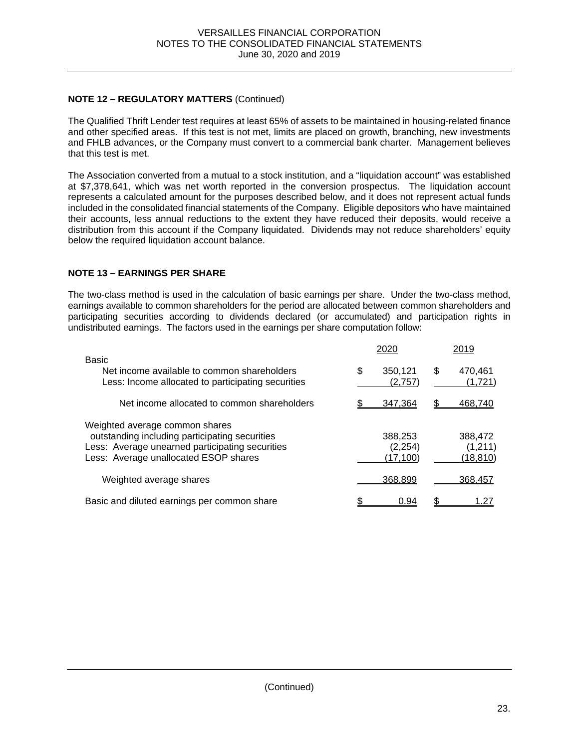## **NOTE 12 – REGULATORY MATTERS** (Continued)

The Qualified Thrift Lender test requires at least 65% of assets to be maintained in housing-related finance and other specified areas. If this test is not met, limits are placed on growth, branching, new investments and FHLB advances, or the Company must convert to a commercial bank charter. Management believes that this test is met.

The Association converted from a mutual to a stock institution, and a "liquidation account" was established at \$7,378,641, which was net worth reported in the conversion prospectus. The liquidation account represents a calculated amount for the purposes described below, and it does not represent actual funds included in the consolidated financial statements of the Company. Eligible depositors who have maintained their accounts, less annual reductions to the extent they have reduced their deposits, would receive a distribution from this account if the Company liquidated. Dividends may not reduce shareholders' equity below the required liquidation account balance.

### **NOTE 13 – EARNINGS PER SHARE**

The two-class method is used in the calculation of basic earnings per share. Under the two-class method, earnings available to common shareholders for the period are allocated between common shareholders and participating securities according to dividends declared (or accumulated) and participation rights in undistributed earnings. The factors used in the earnings per share computation follow:

|                                                                                                                                                                              |   | 2020                             | 2019                                   |
|------------------------------------------------------------------------------------------------------------------------------------------------------------------------------|---|----------------------------------|----------------------------------------|
| Basic<br>Net income available to common shareholders<br>Less: Income allocated to participating securities                                                                   | S | 350,121<br>(2,757)               | \$<br>470,461<br>(1,721)               |
| Net income allocated to common shareholders                                                                                                                                  |   | 347,364                          | 468.740                                |
| Weighted average common shares<br>outstanding including participating securities<br>Less: Average unearned participating securities<br>Less: Average unallocated ESOP shares |   | 388,253<br>(2, 254)<br>(17, 100) | 388,472<br>(1, 211)<br><u>(18,810)</u> |
| Weighted average shares                                                                                                                                                      |   | 368,899                          | 368,457                                |
| Basic and diluted earnings per common share                                                                                                                                  |   | 0.94                             | 1.27                                   |